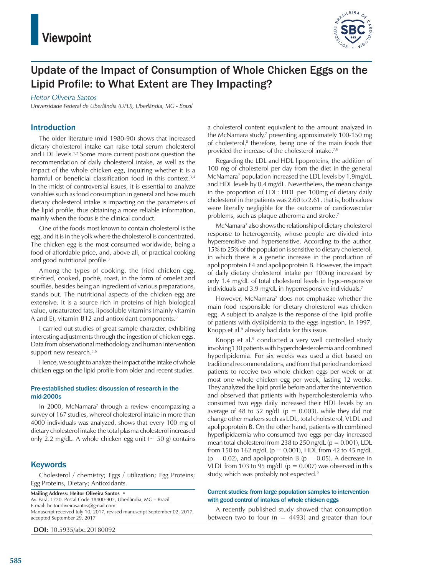

# Update of the Impact of Consumption of Whole Chicken Eggs on the Lipid Profile: to What Extent are They Impacting?

#### *Heitor Oliveira Santos*

*Universidade Federal de Uberlândia (UFU), Uberlândia, MG - Brazil*

#### Introduction

The older literature (mid 1980-90) shows that increased dietary cholesterol intake can raise total serum cholesterol and LDL levels.1,2 Some more current positions question the recommendation of daily cholesterol intake, as well as the impact of the whole chicken egg, inquiring whether it is a harmful or beneficial classification food in this context.<sup>3,4</sup> In the midst of controversial issues, it is essential to analyze variables such as food consumption in general and how much dietary cholesterol intake is impacting on the parameters of the lipid profile, thus obtaining a more reliable information, mainly when the focus is the clinical conduct.

One of the foods most known to contain cholesterol is the egg, and it is in the yolk where the cholesterol is concentrated. The chicken egg is the most consumed worldwide, being a food of affordable price, and, above all, of practical cooking and good nutritional profile.<sup>3</sup>

Among the types of cooking, the fried chicken egg, stir-fried, cooked, pochê, roast, in the form of omelet and soufflés, besides being an ingredient of various preparations, stands out. The nutritional aspects of the chicken egg are extensive. It is a source rich in proteins of high biological value, unsaturated fats, liposoluble vitamins (mainly vitamin A and E), vitamin B12 and antioxidant components.<sup>3</sup>

I carried out studies of great sample character, exhibiting interesting adjustments through the ingestion of chicken eggs. Data from observational methodology and human intervention support new research.<sup>5,6</sup>

Hence, we sought to analyze the impact of the intake of whole chicken eggs on the lipid profile from older and recent studies.

#### Pre-established studies: discussion of research in the mid-2000s

In 2000, McNamara<sup>7</sup> through a review encompassing a survey of 167 studies, whereof cholesterol intake in more than 4000 individuals was analyzed, shows that every 100 mg of dietary cholesterol intake the total plasma cholesterol increased only 2.2 mg/dL. A whole chicken egg unit  $(-50 \text{ g})$  contains

#### **Keywords**

Cholesterol / chemistry; Eggs / utilization; Egg Proteins; Egg Proteins, Dietary; Antioxidants.

**Mailing Address: Heitor Oliveira Santos •** Av. Pará, 1720. Postal Code 38400-902, Uberlândia, MG – Brazil E-mail: heitoroliveirasantos@gmail.com Manuscript received July 10, 2017, revised manuscript September 02, 2017, accepted September 29, 2017

**DOI:** 10.5935/abc.20180092

a cholesterol content equivalent to the amount analyzed in the McNamara study,<sup>7</sup> presenting approximately 100-150 mg of cholesterol,<sup>8</sup> therefore, being one of the main foods that provided the increase of the cholesterol intake.7,8

Regarding the LDL and HDL lipoproteins, the addition of 100 mg of cholesterol per day from the diet in the general McNamara<sup>7</sup> population increased the LDL levels by 1.9mg/dL and HDL levels by 0.4 mg/dL. Nevertheless, the mean change in the proportion of LDL: HDL per 100mg of dietary daily cholesterol in the patients was 2.60 to 2.61, that is, both values were literally negligible for the outcome of cardiovascular problems, such as plaque atheroma and stroke.7

McNamara<sup>7</sup> also shows the relationship of dietary cholesterol response to heterogeneity, whose people are divided into hypersensitive and hypersensitive. According to the author, 15% to 25% of the population is sensitive to dietary cholesterol, in which there is a genetic increase in the production of apolipoprotein E4 and apolipoprotein B. However, the impact of daily dietary cholesterol intake per 100mg increased by only 1.4 mg/dL of total cholesterol levels in hypo-responsive individuals and 3.9 mg/dL in hyperresponsive individuals.<sup>7</sup>

However, McNamara<sup>7</sup> does not emphasize whether the main food responsible for dietary cholesterol was chicken egg. A subject to analyze is the response of the lipid profile of patients with dyslipidemia to the eggs ingestion. In 1997, Knopp et al.<sup>9</sup> already had data for this issue.

Knopp et al.<sup>9</sup> conducted a very well controlled study involving 130 patients with hypercholesterolemia and combined hyperlipidemia. For six weeks was used a diet based on traditional recommendations, and from that period randomized patients to receive two whole chicken eggs per week or at most one whole chicken egg per week, lasting 12 weeks. They analyzed the lipid profile before and after the intervention and observed that patients with hypercholesterolemia who consumed two eggs daily increased their HDL levels by an average of 48 to 52 ng/dL ( $p = 0.003$ ), while they did not change other markers such as LDL, total cholesterol, VLDL and apolipoprotein B. On the other hand, patients with combined hyperlipidaemia who consumed two eggs per day increased mean total cholesterol from 238 to 250 ng/dL ( $p = 0.001$ ), LDL from 150 to 162 ng/dL ( $p = 0.001$ ), HDL from 42 to 45 ng/dL  $(p = 0.02)$ , and apolipoprotein B  $(p = 0.05)$ . A decrease in VLDL from 103 to 95 mg/dL ( $p = 0.007$ ) was observed in this study, which was probably not expected.<sup>9</sup>

#### Current studies: from large population samples to intervention with good control of intakes of whole chicken eggs

A recently published study showed that consumption between two to four ( $n = 4493$ ) and greater than four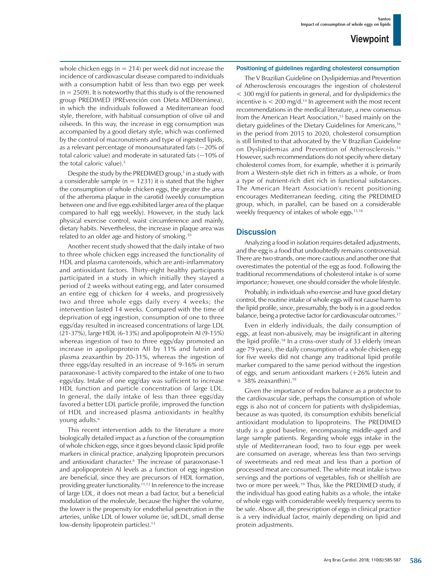whole chicken eggs ( $n = 214$ ) per week did not increase the incidence of cardiovascular disease compared to individuals with a consumption habit of less than two eggs per week  $(n = 2509)$ . It is noteworthy that this study is of the renowned group PREDIMED (PREvención con DIeta MEDiterránea), in which the individuals followed a Mediterranean food style, therefore, with habitual consumption of olive oil and oilseeds. In this way, the increase in egg consumption was accompanied by a good dietary style, which was confirmed by the control of macronutrients and type of ingested lipids, as a relevant percentage of monounsaturated fats  $(-20\% \text{ of }$ total caloric value) and moderate in saturated fats  $(-10\% \text{ of}$ the total caloric value).<sup>5</sup>

Despite the study by the PREDIMED group,<sup>5</sup> in a study with a considerable sample ( $n = 1231$ ) it is stated that the higher the consumption of whole chicken eggs, the greater the area of the atheroma plaque in the carotid (weekly consumption between one and five eggs exhibited larger area of the plaque compared to half egg weekly). However, in the study lack physical exercise control, waist circumference and mainly, dietary habits. Nevertheless, the increase in plaque area was related to an older age and history of smoking.10

Another recent study showed that the daily intake of two to three whole chicken eggs increased the functionality of HDL and plasma carotenoids, which are anti-inflammatory and antioxidant factors. Thirty-eight healthy participants participated in a study in which initially they stayed a period of 2 weeks without eating egg, and later consumed an entire egg of chicken for 4 weeks, and progressively two and three whole eggs daily every 4 weeks; the intervention lasted 14 weeks. Compared with the time of deprivation of egg ingestion, consumption of one to three eggs/day resulted in increased concentrations of large LDL (21-37%), large HDL (6-13%) and apolipoprotein AI (9-15%) whereas ingestion of two to three eggs/day promoted an increase in apolipoprotein AII by 11% and lutein and plasma zeaxanthin by 20-31%, whereas the ingestion of three eggs/day resulted in an increase of 9-16% in serum paraoxonase-1 activity compared to the intake of one to two eggs/day. Intake of one egg/day was sufficient to increase HDL function and particle concentration of large LDL. In general, the daily intake of less than three eggs/day favored a better LDL particle profile, improved the function of HDL and increased plasma antioxidants in healthy young adults.<sup>6</sup>

This recent intervention adds to the literature a more biologically detailed impact as a function of the consumption of whole chicken eggs, since it goes beyond classic lipid profile markers in clinical practice, analyzing lipoprotein precursors and antioxidant character.6 The increase of paraoxonase-1 and apolipoprotein AI levels as a function of egg ingestion are beneficial, since they are precursors of HDL formation, providing greater functionality.11,12 In reference to the increase of large LDL, it does not mean a bad factor, but a beneficial modulation of the molecule, because the higher the volume, the lower is the propensity for endothelial penetration in the arteries, unlike LDL of lower volume (ie, sdLDL, small dense low-density lipoprotein particles).<sup>13</sup>

#### Positioning of guidelines regarding cholesterol consumption

The V Brazilian Guideline on Dyslipidemias and Prevention of Atherosclerosis encourages the ingestion of cholesterol < 300 mg/d for patients in general, and for dyslipidemics the incentive is  $< 200$  mg/d.<sup>14</sup> In agreement with the most recent recommendations in the medical literature, a new consensus from the American Heart Association,<sup>15</sup> based mainly on the dietary guidelines of the Dietary Guidelines for Americans,<sup>16</sup> in the period from 2015 to 2020, cholesterol consumption is still limited to that advocated by the V Brazilian Guideline on Dyslipidemias and Prevention of Atherosclerosis.14 However, such recommendations do not specify where dietary cholesterol comes from, for example, whether it is primarily from a Western-style diet rich in fritters as a whole, or from a type of nutrient-rich diet rich in functional substances. The American Heart Association's recent positioning encourages Mediterranean feeding, citing the PREDIMED group, which, in parallel, can be based on a considerable weekly frequency of intakes of whole eggs.<sup>15,16</sup>

#### **Discussion**

Analyzing a food in isolation requires detailed adjustments, and the egg is a food that undoubtedly remains controversial. There are two strands, one more cautious and another one that overestimates the potential of the egg as food. Following the traditional recommendations of cholesterol intake is of some importance; however, one should consider the whole lifestyle.

Probably, in individuals who exercise and have good dietary control, the routine intake of whole eggs will not cause harm to the lipid profile, since, presumably, the body is in a good redox balance, being a protective factor for cardiovascular outcomes.17

Even in elderly individuals, the daily consumption of eggs, at least non-abusively, may be insignificant in altering the lipid profile.18 In a cross-over study of 33 elderly (mean age 79 years), the daily consumption of a whole chicken egg for five weeks did not change any traditional lipid profile marker compared to the same period without the ingestion of eggs, and serum antioxidant markers (+26% lutein and  $+38\%$  zeaxanthin).<sup>19</sup>

Given the importance of redox balance as a protector to the cardiovascular side, perhaps the consumption of whole eggs is also not of concern for patients with dyslipidemias, because as was quoted, its consumption exhibits beneficial antioxidant modulation to lipoproteins. The PREDIMED study is a good baseline, encompassing middle-aged and large sample patients. Regarding whole eggs intake in the style of Mediterranean food, two to four eggs per week are consumed on average, whereas less than two servings of sweetmeats and red meat and less than a portion of processed meat are consumed. The white meat intake is two servings and the portions of vegetables, fish or shellfish are two or more per week.<sup>19</sup> Thus, like the PREDIMED study, if the individual has good eating habits as a whole, the intake of whole eggs with considerable weekly frequency seems to be safe. Above all, the prescription of eggs in clinical practice is a very individual factor, mainly depending on lipid and protein adjustments.